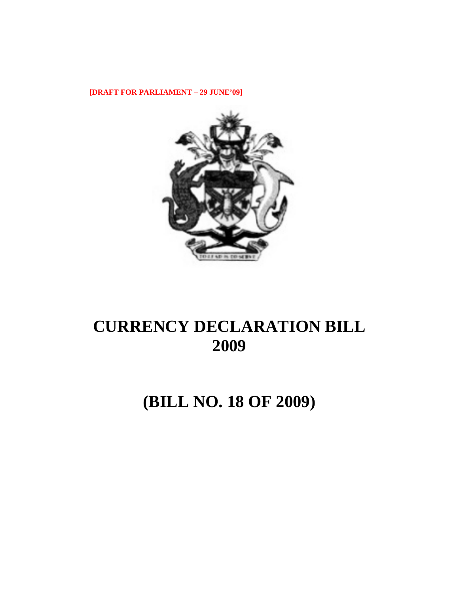**[DRAFT FOR PARLIAMENT – 29 JUNE'09]** 



# **CURRENCY DECLARATION BILL 2009**

# **(BILL NO. 18 OF 2009)**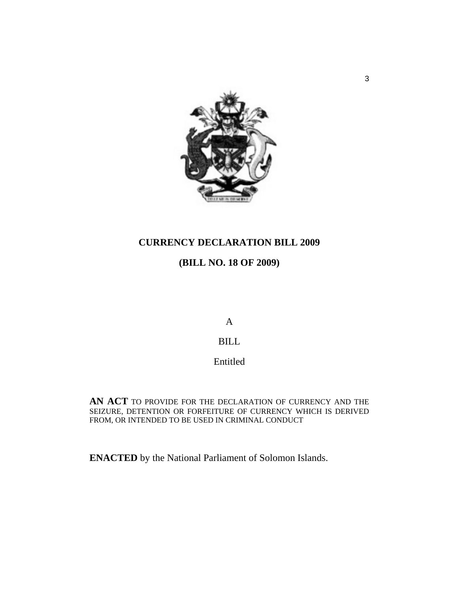

# **CURRENCY DECLARATION BILL 2009**

# **(BILL NO. 18 OF 2009)**

A

## BILL

Entitled

**AN ACT** TO PROVIDE FOR THE DECLARATION OF CURRENCY AND THE SEIZURE, DETENTION OR FORFEITURE OF CURRENCY WHICH IS DERIVED FROM, OR INTENDED TO BE USED IN CRIMINAL CONDUCT

**ENACTED** by the National Parliament of Solomon Islands.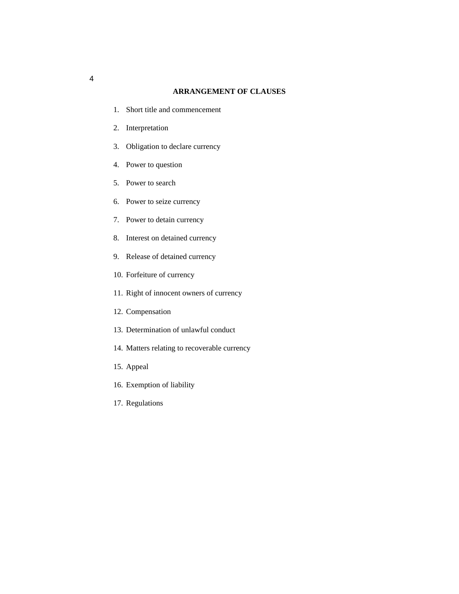## **ARRANGEMENT OF CLAUSES**

- 1. Short title and commencement
- 2. Interpretation
- 3. Obligation to declare currency
- 4. Power to question
- 5. Power to search
- 6. Power to seize currency
- 7. Power to detain currency
- 8. Interest on detained currency
- 9. Release of detained currency
- 10. Forfeiture of currency
- 11. Right of innocent owners of currency
- 12. Compensation
- 13. Determination of unlawful conduct
- 14. Matters relating to recoverable currency
- 15. Appeal
- 16. Exemption of liability
- 17. Regulations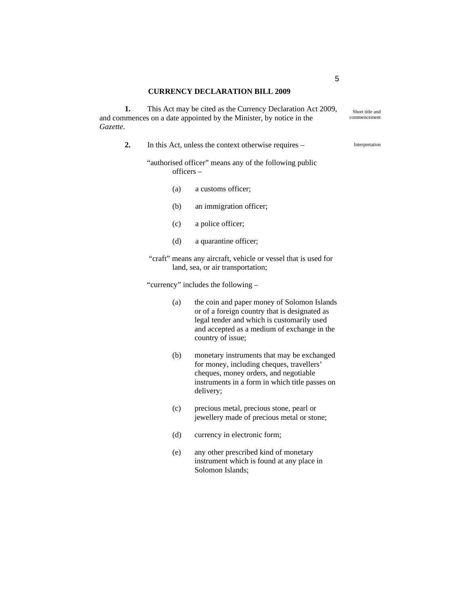## **CURRENCY DECLARATION BILL 2009**

**1.** This Act may be cited as the Currency Declaration Act 2009, and commences on a date appointed by the Minister, by notice in the *Gazette*.

- **2.** In this Act, unless the context otherwise requires
	- "authorised officer" means any of the following public officers –
		- (a) a customs officer;
		- (b) an immigration officer;
		- (c) a police officer;
		- (d) a quarantine officer;
	- "craft" means any aircraft, vehicle or vessel that is used for land, sea, or air transportation;

"currency" includes the following –

- (a) the coin and paper money of Solomon Islands or of a foreign country that is designated as legal tender and which is customarily used and accepted as a medium of exchange in the country of issue;
- (b) monetary instruments that may be exchanged for money, including cheques, travellers' cheques, money orders, and negotiable instruments in a form in which title passes on delivery;
- (c) precious metal, precious stone, pearl or jewellery made of precious metal or stone;
- (d) currency in electronic form;
- (e) any other prescribed kind of monetary instrument which is found at any place in Solomon Islands;

5

Interpretation

Short title and commencement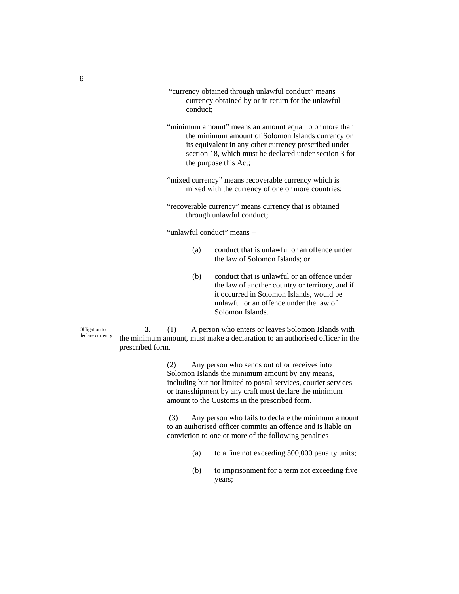- "currency obtained through unlawful conduct" means currency obtained by or in return for the unlawful conduct;
- "minimum amount" means an amount equal to or more than the minimum amount of Solomon Islands currency or its equivalent in any other currency prescribed under section 18, which must be declared under section 3 for the purpose this Act;
- "mixed currency" means recoverable currency which is mixed with the currency of one or more countries;
- "recoverable currency" means currency that is obtained through unlawful conduct;

"unlawful conduct" means –

- (a) conduct that is unlawful or an offence under the law of Solomon Islands; or
- (b) conduct that is unlawful or an offence under the law of another country or territory, and if it occurred in Solomon Islands, would be unlawful or an offence under the law of Solomon Islands.

Obligation to declare currency

**3.** (1) A person who enters or leaves Solomon Islands with the minimum amount, must make a declaration to an authorised officer in the prescribed form.

> (2) Any person who sends out of or receives into Solomon Islands the minimum amount by any means, including but not limited to postal services, courier services or transshipment by any craft must declare the minimum amount to the Customs in the prescribed form.

 (3) Any person who fails to declare the minimum amount to an authorised officer commits an offence and is liable on conviction to one or more of the following penalties –

- (a) to a fine not exceeding 500,000 penalty units;
- (b) to imprisonment for a term not exceeding five years;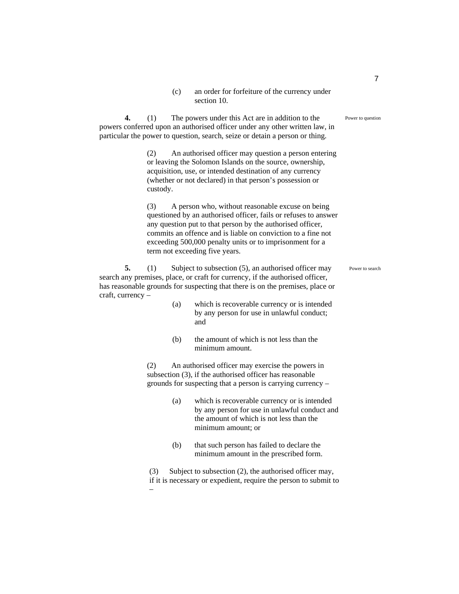(c) an order for forfeiture of the currency under section 10.

Power to question

**4.** (1) The powers under this Act are in addition to the powers conferred upon an authorised officer under any other written law, in particular the power to question, search, seize or detain a person or thing.

> (2) An authorised officer may question a person entering or leaving the Solomon Islands on the source, ownership, acquisition, use, or intended destination of any currency (whether or not declared) in that person's possession or custody.

> (3) A person who, without reasonable excuse on being questioned by an authorised officer, fails or refuses to answer any question put to that person by the authorised officer, commits an offence and is liable on conviction to a fine not exceeding 500,000 penalty units or to imprisonment for a term not exceeding five years.

**5.** (1) Subject to subsection (5), an authorised officer may search any premises, place, or craft for currency, if the authorised officer, has reasonable grounds for suspecting that there is on the premises, place or craft, currency – Power to search

- (a) which is recoverable currency or is intended by any person for use in unlawful conduct; and
- (b) the amount of which is not less than the minimum amount.

(2) An authorised officer may exercise the powers in subsection (3), if the authorised officer has reasonable grounds for suspecting that a person is carrying currency –

- (a) which is recoverable currency or is intended by any person for use in unlawful conduct and the amount of which is not less than the minimum amount; or
- (b) that such person has failed to declare the minimum amount in the prescribed form.

(3) Subject to subsection (2), the authorised officer may, if it is necessary or expedient, require the person to submit to –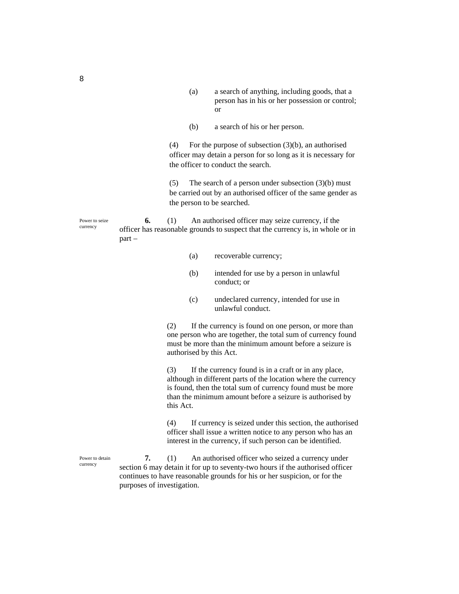- (a) a search of anything, including goods, that a person has in his or her possession or control; or
- (b) a search of his or her person.

(4) For the purpose of subsection (3)(b), an authorised officer may detain a person for so long as it is necessary for the officer to conduct the search.

(5) The search of a person under subsection (3)(b) must be carried out by an authorised officer of the same gender as the person to be searched.

**6.** (1) An authorised officer may seize currency, if the officer has reasonable grounds to suspect that the currency is, in whole or in part –

- (a) recoverable currency;
- (b) intended for use by a person in unlawful conduct; or
- (c) undeclared currency, intended for use in unlawful conduct.

(2) If the currency is found on one person, or more than one person who are together, the total sum of currency found must be more than the minimum amount before a seizure is authorised by this Act.

(3) If the currency found is in a craft or in any place, although in different parts of the location where the currency is found, then the total sum of currency found must be more than the minimum amount before a seizure is authorised by this Act.

(4) If currency is seized under this section, the authorised officer shall issue a written notice to any person who has an interest in the currency, if such person can be identified.

**7.** (1) An authorised officer who seized a currency under section 6 may detain it for up to seventy-two hours if the authorised officer continues to have reasonable grounds for his or her suspicion, or for the purposes of investigation.

Power to seize currency

8

Power to detain currency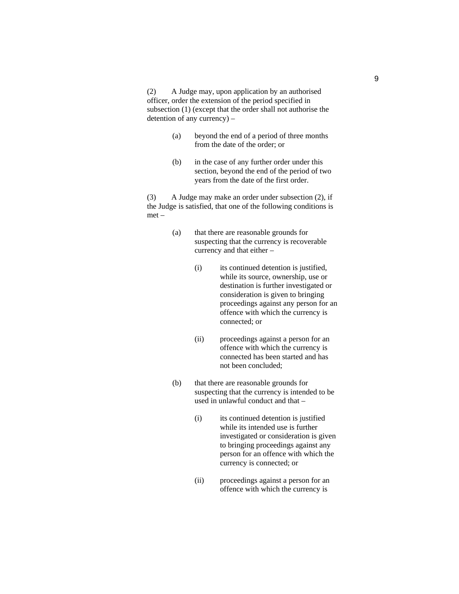(2) A Judge may, upon application by an authorised officer, order the extension of the period specified in subsection (1) (except that the order shall not authorise the detention of any currency) –

- (a) beyond the end of a period of three months from the date of the order; or
- (b) in the case of any further order under this section, beyond the end of the period of two years from the date of the first order.

(3) A Judge may make an order under subsection (2), if the Judge is satisfied, that one of the following conditions is met –

- (a) that there are reasonable grounds for suspecting that the currency is recoverable currency and that either –
	- (i) its continued detention is justified, while its source, ownership, use or destination is further investigated or consideration is given to bringing proceedings against any person for an offence with which the currency is connected; or
	- (ii) proceedings against a person for an offence with which the currency is connected has been started and has not been concluded;
- (b) that there are reasonable grounds for suspecting that the currency is intended to be used in unlawful conduct and that –
	- (i) its continued detention is justified while its intended use is further investigated or consideration is given to bringing proceedings against any person for an offence with which the currency is connected; or
	- (ii) proceedings against a person for an offence with which the currency is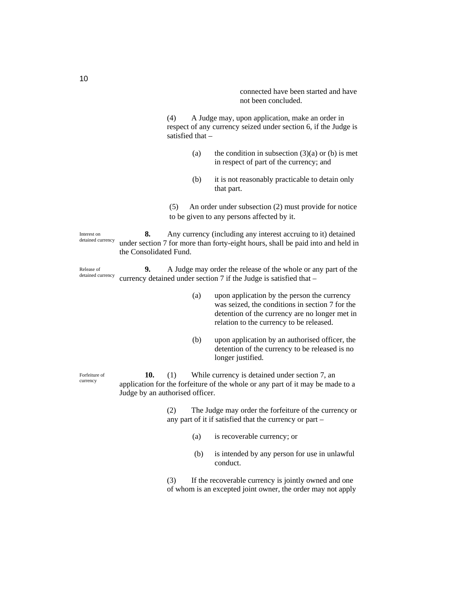connected have been started and have not been concluded.

(4) A Judge may, upon application, make an order in respect of any currency seized under section 6, if the Judge is satisfied that –

- (a) the condition in subsection  $(3)(a)$  or (b) is met in respect of part of the currency; and
- (b) it is not reasonably practicable to detain only that part.

(5) An order under subsection (2) must provide for notice to be given to any persons affected by it.

**8.** Any currency (including any interest accruing to it) detained under section 7 for more than forty-eight hours, shall be paid into and held in the Consolidated Fund. Interest on detained currency

**9.** A Judge may order the release of the whole or any part of the currency detained under section 7 if the Judge is satisfied that – Release of detained currency

- (a) upon application by the person the currency was seized, the conditions in section 7 for the detention of the currency are no longer met in relation to the currency to be released.
- (b) upon application by an authorised officer, the detention of the currency to be released is no longer justified.

**10.** (1) While currency is detained under section 7, an application for the forfeiture of the whole or any part of it may be made to a Judge by an authorised officer. Forfeiture of

> (2) The Judge may order the forfeiture of the currency or any part of it if satisfied that the currency or part –

- (a) is recoverable currency; or
- (b) is intended by any person for use in unlawful conduct.

(3) If the recoverable currency is jointly owned and one of whom is an excepted joint owner, the order may not apply

currency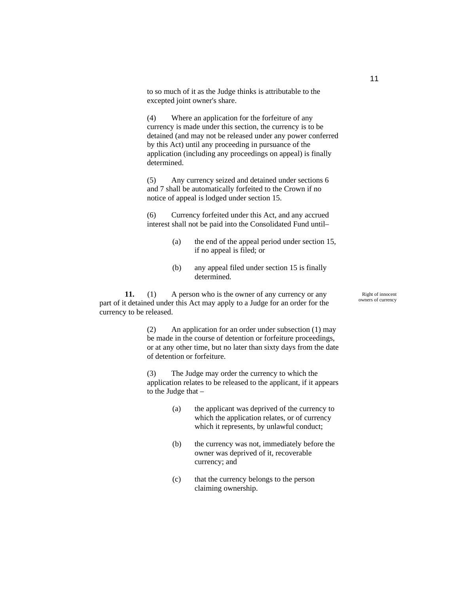to so much of it as the Judge thinks is attributable to the excepted joint owner's share.

(4) Where an application for the forfeiture of any currency is made under this section, the currency is to be detained (and may not be released under any power conferred by this Act) until any proceeding in pursuance of the application (including any proceedings on appeal) is finally determined.

(5) Any currency seized and detained under sections 6 and 7 shall be automatically forfeited to the Crown if no notice of appeal is lodged under section 15.

(6) Currency forfeited under this Act, and any accrued interest shall not be paid into the Consolidated Fund until–

- (a) the end of the appeal period under section 15, if no appeal is filed; or
- (b) any appeal filed under section 15 is finally determined.

**11.** (1) A person who is the owner of any currency or any part of it detained under this Act may apply to a Judge for an order for the currency to be released.

> (2) An application for an order under subsection (1) may be made in the course of detention or forfeiture proceedings, or at any other time, but no later than sixty days from the date of detention or forfeiture.

> (3) The Judge may order the currency to which the application relates to be released to the applicant, if it appears to the Judge that –

- (a) the applicant was deprived of the currency to which the application relates, or of currency which it represents, by unlawful conduct;
- (b) the currency was not, immediately before the owner was deprived of it, recoverable currency; and
- (c) that the currency belongs to the person claiming ownership.

Right of innocent owners of currency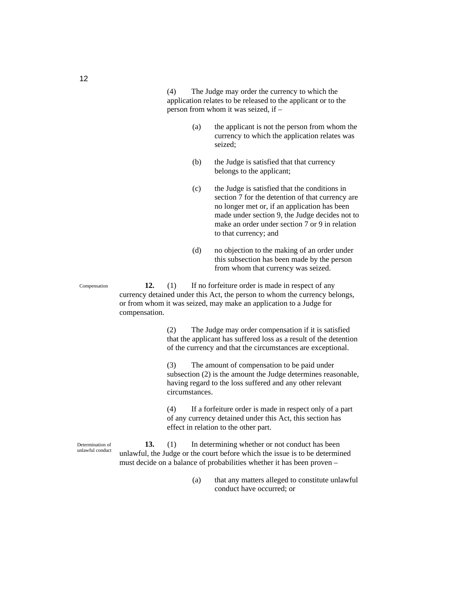(4) The Judge may order the currency to which the application relates to be released to the applicant or to the person from whom it was seized, if –

- (a) the applicant is not the person from whom the currency to which the application relates was seized;
- (b) the Judge is satisfied that that currency belongs to the applicant;
- (c) the Judge is satisfied that the conditions in section 7 for the detention of that currency are no longer met or, if an application has been made under section 9, the Judge decides not to make an order under section 7 or 9 in relation to that currency; and
- (d) no objection to the making of an order under this subsection has been made by the person from whom that currency was seized.

**12.** (1) If no forfeiture order is made in respect of any currency detained under this Act, the person to whom the currency belongs, or from whom it was seized, may make an application to a Judge for compensation.

> (2) The Judge may order compensation if it is satisfied that the applicant has suffered loss as a result of the detention of the currency and that the circumstances are exceptional.

> (3) The amount of compensation to be paid under subsection (2) is the amount the Judge determines reasonable, having regard to the loss suffered and any other relevant circumstances.

(4) If a forfeiture order is made in respect only of a part of any currency detained under this Act, this section has effect in relation to the other part.

**13.** (1) In determining whether or not conduct has been unlawful, the Judge or the court before which the issue is to be determined must decide on a balance of probabilities whether it has been proven –

> (a) that any matters alleged to constitute unlawful conduct have occurred; or

Compensation

Determination of unlawful conduct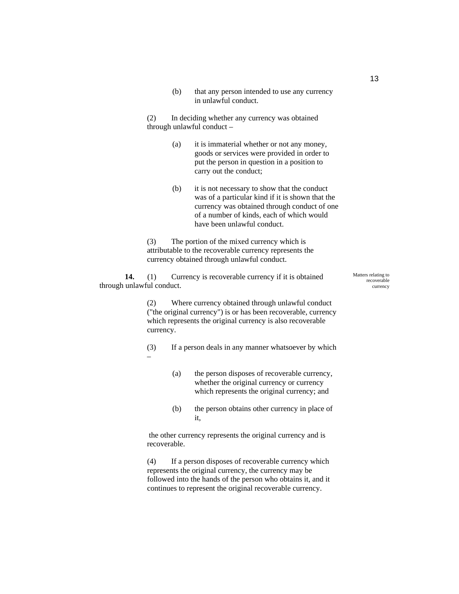(b) that any person intended to use any currency in unlawful conduct.

(2) In deciding whether any currency was obtained through unlawful conduct –

- (a) it is immaterial whether or not any money, goods or services were provided in order to put the person in question in a position to carry out the conduct;
- (b) it is not necessary to show that the conduct was of a particular kind if it is shown that the currency was obtained through conduct of one of a number of kinds, each of which would have been unlawful conduct.

(3) The portion of the mixed currency which is attributable to the recoverable currency represents the currency obtained through unlawful conduct.

**14.** (1) Currency is recoverable currency if it is obtained through unlawful conduct.

> (2) Where currency obtained through unlawful conduct ("the original currency") is or has been recoverable, currency which represents the original currency is also recoverable currency.

- (3) If a person deals in any manner whatsoever by which –
	- (a) the person disposes of recoverable currency, whether the original currency or currency which represents the original currency; and
	- (b) the person obtains other currency in place of it,

 the other currency represents the original currency and is recoverable.

(4) If a person disposes of recoverable currency which represents the original currency, the currency may be followed into the hands of the person who obtains it, and it continues to represent the original recoverable currency.

Matters relating to recoverable currency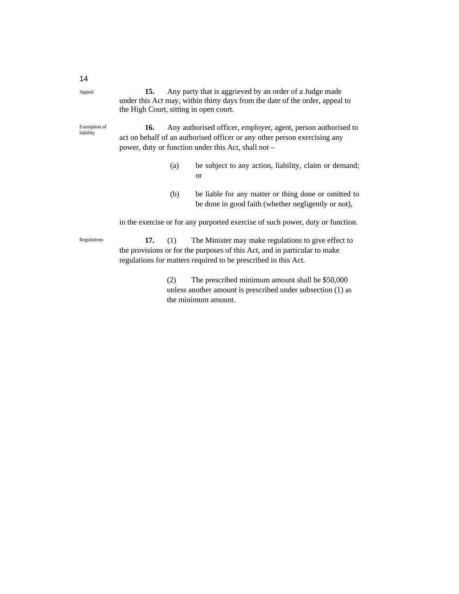| 15.                                    | Any party that is aggrieved by an order of a Judge made                      |
|----------------------------------------|------------------------------------------------------------------------------|
|                                        | under this Act may, within thirty days from the date of the order, appeal to |
| the High Court, sitting in open court. |                                                                              |

Exemption of liability

**16.** Any authorised officer, employer, agent, person authorised to act on behalf of an authorised officer or any other person exercising any power, duty or function under this Act, shall not –

- (a) be subject to any action, liability, claim or demand; or
- (b) be liable for any matter or thing done or omitted to be done in good faith (whether negligently or not),

in the exercise or for any purported exercise of such power, duty or function.

**17.** (1) The Minister may make regulations to give effect to the provisions or for the purposes of this Act, and in particular to make regulations for matters required to be prescribed in this Act. Regulations

> (2) The prescribed minimum amount shall be \$50,000 unless another amount is prescribed under subsection (1) as the minimum amount.

14 Appeal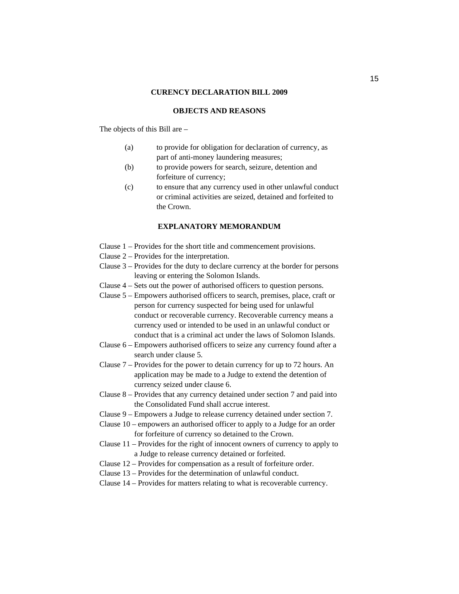## **CURENCY DECLARATION BILL 2009**

### **OBJECTS AND REASONS**

The objects of this Bill are –

- (a) to provide for obligation for declaration of currency, as part of anti-money laundering measures;
- (b) to provide powers for search, seizure, detention and forfeiture of currency;
- (c) to ensure that any currency used in other unlawful conduct or criminal activities are seized, detained and forfeited to the Crown.

### **EXPLANATORY MEMORANDUM**

- Clause 1 Provides for the short title and commencement provisions.
- Clause 2 Provides for the interpretation.
- Clause 3 Provides for the duty to declare currency at the border for persons leaving or entering the Solomon Islands.
- Clause 4 Sets out the power of authorised officers to question persons.
- Clause 5 Empowers authorised officers to search, premises, place, craft or person for currency suspected for being used for unlawful conduct or recoverable currency. Recoverable currency means a currency used or intended to be used in an unlawful conduct or conduct that is a criminal act under the laws of Solomon Islands.
- Clause 6 Empowers authorised officers to seize any currency found after a search under clause 5.
- Clause 7 Provides for the power to detain currency for up to 72 hours. An application may be made to a Judge to extend the detention of currency seized under clause 6.
- Clause 8 Provides that any currency detained under section 7 and paid into the Consolidated Fund shall accrue interest.
- Clause 9 Empowers a Judge to release currency detained under section 7.
- Clause 10 empowers an authorised officer to apply to a Judge for an order for forfeiture of currency so detained to the Crown.
- Clause 11 Provides for the right of innocent owners of currency to apply to a Judge to release currency detained or forfeited.
- Clause 12 Provides for compensation as a result of forfeiture order.
- Clause 13 Provides for the determination of unlawful conduct.
- Clause 14 Provides for matters relating to what is recoverable currency.